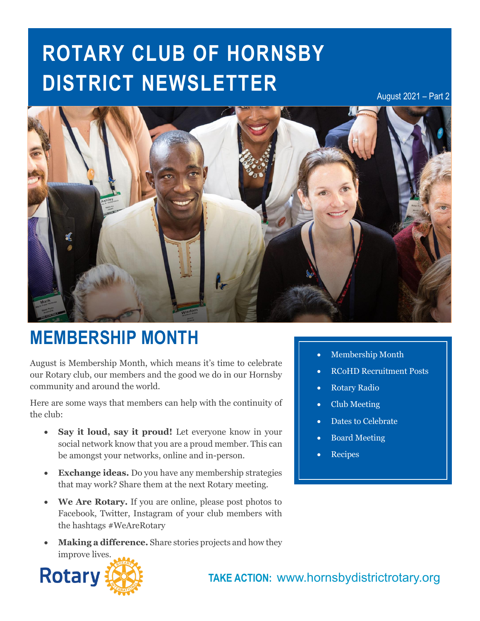# **ROTARY CLUB OF HORNSBY DISTRICT NEWSLETTER**

August 2021 – Part 2



## **MEMBERSHIP MONTH**

August is Membership Month, which means it's time to celebrate our Rotary club, our members and the good we do in our Hornsby community and around the world.

Here are some ways that members can help with the continuity of the club:

- **Say it loud, say it proud!** Let everyone know in your social network know that you are a proud member. This can be amongst your networks, online and in-person.
- **Exchange ideas.** Do you have any membership strategies that may work? Share them at the next Rotary meeting.
- **We Are Rotary.** If you are online, please post photos to Facebook, Twitter, Instagram of your club members with the hashtags #WeAreRotary
- **Making a difference.** Share stories projects and how they improve lives.
- **In this issue…** Membership Month
- RCoHD Recruitment Posts
- Rotary Radio
- Club Meeting
- Dates to Celebrate
- Board Meeting
- **Recipes**

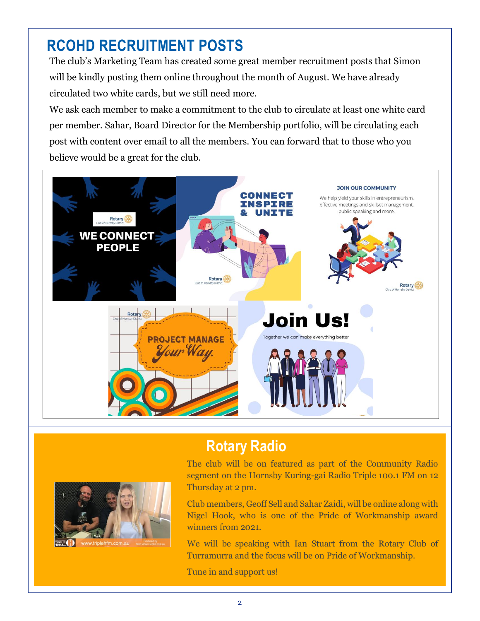## **RCOHD RECRUITMENT POSTS**

The club's Marketing Team has created some great member recruitment posts that Simon will be kindly posting them online throughout the month of August. We have already circulated two white cards, but we still need more.

We ask each member to make a commitment to the club to circulate at least one white card per member. Sahar, Board Director for the Membership portfolio, will be circulating each post with content over email to all the members. You can forward that to those who you believe would be a great for the club.



### **Rotary Radio**



The club will be on featured as part of the Community Radio segment on the Hornsby Kuring-gai Radio Triple 100.1 FM on 12 Thursday at 2 pm.

Club members, Geoff Sell and Sahar Zaidi, will be online along with Nigel Hook, who is one of the Pride of Workmanship award winners from 2021.

We will be speaking with Ian Stuart from the Rotary Club of Turramurra and the focus will be on Pride of Workmanship.

Tune in and support us!